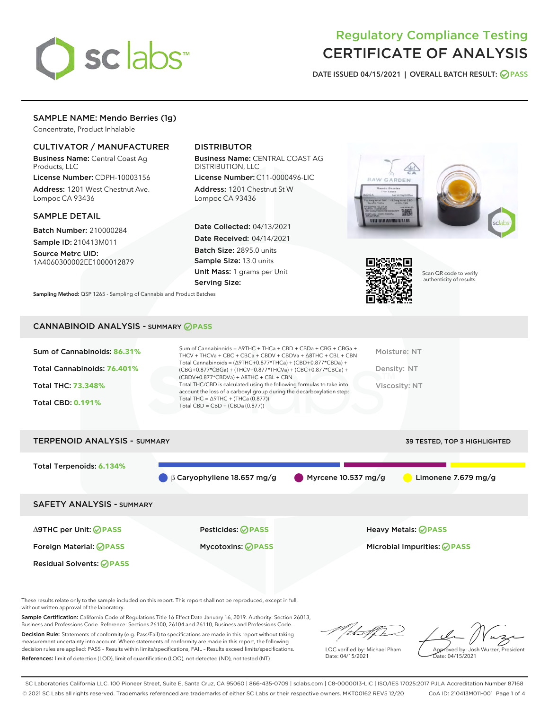

# Regulatory Compliance Testing CERTIFICATE OF ANALYSIS

DATE ISSUED 04/15/2021 | OVERALL BATCH RESULT: @ PASS

# SAMPLE NAME: Mendo Berries (1g)

Concentrate, Product Inhalable

## CULTIVATOR / MANUFACTURER

Business Name: Central Coast Ag Products, LLC

License Number: CDPH-10003156 Address: 1201 West Chestnut Ave. Lompoc CA 93436

## SAMPLE DETAIL

Batch Number: 210000284

Sample ID: 210413M011 Source Metrc UID:

1A4060300002EE1000012879

# DISTRIBUTOR

Business Name: CENTRAL COAST AG DISTRIBUTION, LLC

License Number: C11-0000496-LIC Address: 1201 Chestnut St W Lompoc CA 93436

Date Collected: 04/13/2021 Date Received: 04/14/2021 Batch Size: 2895.0 units Sample Size: 13.0 units Unit Mass: 1 grams per Unit Serving Size:





Scan QR code to verify authenticity of results.

Sampling Method: QSP 1265 - Sampling of Cannabis and Product Batches

## CANNABINOID ANALYSIS - SUMMARY **PASS**

| Sum of Cannabinoids = $\triangle$ 9THC + THCa + CBD + CBDa + CBG + CBGa +<br>Sum of Cannabinoids: 86.31%<br>Moisture: NT<br>THCV + THCVa + CBC + CBCa + CBDV + CBDVa + $\Delta$ 8THC + CBL + CBN<br>Total Cannabinoids = $(\Delta$ 9THC+0.877*THCa) + (CBD+0.877*CBDa) +<br>Total Cannabinoids: 76.401%<br>Density: NT<br>(CBG+0.877*CBGa) + (THCV+0.877*THCVa) + (CBC+0.877*CBCa) +<br>$(CBDV+0.877*CBDVa) + \Delta 8THC + CBL + CBN$<br>Total THC/CBD is calculated using the following formulas to take into<br><b>Total THC: 73.348%</b><br>Viscosity: NT<br>account the loss of a carboxyl group during the decarboxylation step:<br>Total THC = $\triangle$ 9THC + (THCa (0.877))<br><b>Total CBD: 0.191%</b><br>Total CBD = $CBD + (CBDa (0.877))$ |
|-----------------------------------------------------------------------------------------------------------------------------------------------------------------------------------------------------------------------------------------------------------------------------------------------------------------------------------------------------------------------------------------------------------------------------------------------------------------------------------------------------------------------------------------------------------------------------------------------------------------------------------------------------------------------------------------------------------------------------------------------------------|
|-----------------------------------------------------------------------------------------------------------------------------------------------------------------------------------------------------------------------------------------------------------------------------------------------------------------------------------------------------------------------------------------------------------------------------------------------------------------------------------------------------------------------------------------------------------------------------------------------------------------------------------------------------------------------------------------------------------------------------------------------------------|



These results relate only to the sample included on this report. This report shall not be reproduced, except in full, without written approval of the laboratory.

Sample Certification: California Code of Regulations Title 16 Effect Date January 16, 2019. Authority: Section 26013, Business and Professions Code. Reference: Sections 26100, 26104 and 26110, Business and Professions Code.

Decision Rule: Statements of conformity (e.g. Pass/Fail) to specifications are made in this report without taking measurement uncertainty into account. Where statements of conformity are made in this report, the following decision rules are applied: PASS – Results within limits/specifications, FAIL – Results exceed limits/specifications. References: limit of detection (LOD), limit of quantification (LOQ), not detected (ND), not tested (NT)

that for

LQC verified by: Michael Pham Date: 04/15/2021

Approved by: Josh Wurzer, President ate: 04/15/2021

SC Laboratories California LLC. 100 Pioneer Street, Suite E, Santa Cruz, CA 95060 | 866-435-0709 | sclabs.com | C8-0000013-LIC | ISO/IES 17025:2017 PJLA Accreditation Number 87168 © 2021 SC Labs all rights reserved. Trademarks referenced are trademarks of either SC Labs or their respective owners. MKT00162 REV5 12/20 CoA ID: 210413M011-001 Page 1 of 4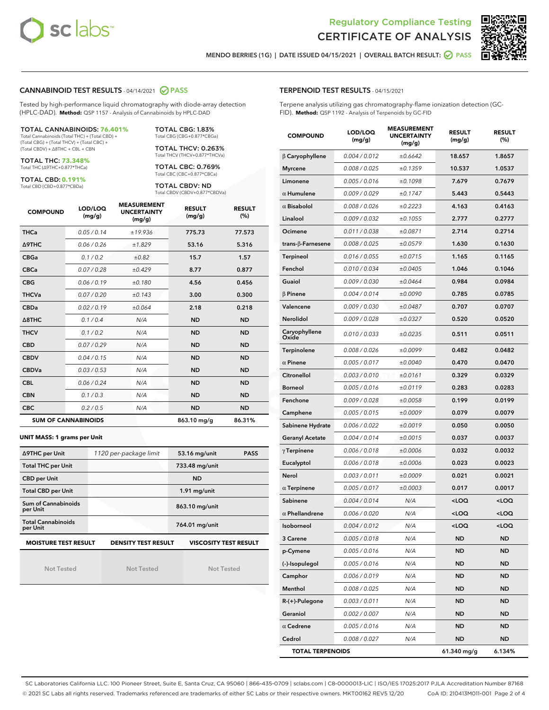



MENDO BERRIES (1G) | DATE ISSUED 04/15/2021 | OVERALL BATCH RESULT: **⊘** PASS

## CANNABINOID TEST RESULTS - 04/14/2021 2 PASS

Tested by high-performance liquid chromatography with diode-array detection (HPLC-DAD). **Method:** QSP 1157 - Analysis of Cannabinoids by HPLC-DAD

TOTAL CANNABINOIDS: **76.401%** Total Cannabinoids (Total THC) + (Total CBD) +

(Total CBG) + (Total THCV) + (Total CBC) + (Total CBDV) + ∆8THC + CBL + CBN

TOTAL THC: **73.348%** Total THC (∆9THC+0.877\*THCa)

TOTAL CBD: **0.191%**

Total CBD (CBD+0.877\*CBDa)

TOTAL CBG: 1.83% Total CBG (CBG+0.877\*CBGa)

TOTAL THCV: 0.263% Total THCV (THCV+0.877\*THCVa)

TOTAL CBC: 0.769% Total CBC (CBC+0.877\*CBCa)

TOTAL CBDV: ND Total CBDV (CBDV+0.877\*CBDVa)

| <b>COMPOUND</b>  | LOD/LOQ<br>(mg/g)          | <b>MEASUREMENT</b><br><b>UNCERTAINTY</b><br>(mg/g) | <b>RESULT</b><br>(mg/g) | <b>RESULT</b><br>(%) |
|------------------|----------------------------|----------------------------------------------------|-------------------------|----------------------|
| <b>THCa</b>      | 0.05 / 0.14                | ±19.936                                            | 775.73                  | 77.573               |
| Δ9THC            | 0.06 / 0.26                | ±1.829                                             | 53.16                   | 5.316                |
| <b>CBGa</b>      | 0.1 / 0.2                  | ±0.82                                              | 15.7                    | 1.57                 |
| <b>CBCa</b>      | 0.07 / 0.28                | ±0.429                                             | 8.77                    | 0.877                |
| <b>CBG</b>       | 0.06/0.19                  | ±0.180                                             | 4.56                    | 0.456                |
| <b>THCVa</b>     | 0.07/0.20                  | ±0.143                                             | 3.00                    | 0.300                |
| <b>CBDa</b>      | 0.02/0.19                  | ±0.064                                             | 2.18                    | 0.218                |
| $\triangle$ 8THC | 0.1/0.4                    | N/A                                                | <b>ND</b>               | <b>ND</b>            |
| <b>THCV</b>      | 0.1 / 0.2                  | N/A                                                | <b>ND</b>               | <b>ND</b>            |
| <b>CBD</b>       | 0.07/0.29                  | N/A                                                | <b>ND</b>               | <b>ND</b>            |
| <b>CBDV</b>      | 0.04 / 0.15                | N/A                                                | <b>ND</b>               | <b>ND</b>            |
| <b>CBDVa</b>     | 0.03 / 0.53                | N/A                                                | <b>ND</b>               | <b>ND</b>            |
| <b>CBL</b>       | 0.06 / 0.24                | N/A                                                | <b>ND</b>               | <b>ND</b>            |
| <b>CBN</b>       | 0.1/0.3                    | N/A                                                | <b>ND</b>               | <b>ND</b>            |
| <b>CBC</b>       | 0.2 / 0.5                  | N/A                                                | <b>ND</b>               | <b>ND</b>            |
|                  | <b>SUM OF CANNABINOIDS</b> |                                                    | 863.10 mg/g             | 86.31%               |

#### **UNIT MASS: 1 grams per Unit**

| ∆9THC per Unit                                                                            | 1120 per-package limit | 53.16 mg/unit<br><b>PASS</b> |  |  |
|-------------------------------------------------------------------------------------------|------------------------|------------------------------|--|--|
| <b>Total THC per Unit</b>                                                                 |                        | 733.48 mg/unit               |  |  |
| <b>CBD per Unit</b>                                                                       |                        | <b>ND</b>                    |  |  |
| <b>Total CBD per Unit</b>                                                                 |                        | $1.91$ mg/unit               |  |  |
| Sum of Cannabinoids<br>per Unit                                                           |                        | 863.10 mg/unit               |  |  |
| <b>Total Cannabinoids</b><br>per Unit                                                     |                        | 764.01 mg/unit               |  |  |
| <b>MOISTURE TEST RESULT</b><br><b>VISCOSITY TEST RESULT</b><br><b>DENSITY TEST RESULT</b> |                        |                              |  |  |

Not Tested

Not Tested

Not Tested

## TERPENOID TEST RESULTS - 04/15/2021

Terpene analysis utilizing gas chromatography-flame ionization detection (GC-FID). **Method:** QSP 1192 - Analysis of Terpenoids by GC-FID

| <b>COMPOUND</b>           | LOD/LOQ<br>(mg/g) | <b>MEASUREMENT</b><br><b>UNCERTAINTY</b><br>(mg/g) | <b>RESULT</b><br>(mg/g)                         | <b>RESULT</b><br>(%) |
|---------------------------|-------------------|----------------------------------------------------|-------------------------------------------------|----------------------|
| $\beta$ Caryophyllene     | 0.004 / 0.012     | ±0.6642                                            | 18.657                                          | 1.8657               |
| <b>Myrcene</b>            | 0.008 / 0.025     | ±0.1359                                            | 10.537                                          | 1.0537               |
| Limonene                  | 0.005 / 0.016     | ±0.1098                                            | 7.679                                           | 0.7679               |
| $\alpha$ Humulene         | 0.009 / 0.029     | ±0.1747                                            | 5.443                                           | 0.5443               |
| $\alpha$ Bisabolol        | 0.008 / 0.026     | ±0.2223                                            | 4.163                                           | 0.4163               |
| Linalool                  | 0.009 / 0.032     | ±0.1055                                            | 2.777                                           | 0.2777               |
| Ocimene                   | 0.011 / 0.038     | ±0.0871                                            | 2.714                                           | 0.2714               |
| trans- $\beta$ -Farnesene | 0.008 / 0.025     | ±0.0579                                            | 1.630                                           | 0.1630               |
| Terpineol                 | 0.016 / 0.055     | ±0.0715                                            | 1.165                                           | 0.1165               |
| Fenchol                   | 0.010 / 0.034     | ±0.0405                                            | 1.046                                           | 0.1046               |
| Guaiol                    | 0.009 / 0.030     | ±0.0464                                            | 0.984                                           | 0.0984               |
| $\beta$ Pinene            | 0.004 / 0.014     | ±0.0090                                            | 0.785                                           | 0.0785               |
| Valencene                 | 0.009 / 0.030     | ±0.0487                                            | 0.707                                           | 0.0707               |
| Nerolidol                 | 0.009 / 0.028     | ±0.0327                                            | 0.520                                           | 0.0520               |
| Caryophyllene<br>Oxide    | 0.010 / 0.033     | ±0.0235                                            | 0.511                                           | 0.0511               |
| Terpinolene               | 0.008 / 0.026     | ±0.0099                                            | 0.482                                           | 0.0482               |
| $\alpha$ Pinene           | 0.005 / 0.017     | ±0.0040                                            | 0.470                                           | 0.0470               |
| Citronellol               | 0.003 / 0.010     | ±0.0161                                            | 0.329                                           | 0.0329               |
| <b>Borneol</b>            | 0.005 / 0.016     | ±0.0119                                            | 0.283                                           | 0.0283               |
| Fenchone                  | 0.009 / 0.028     | ±0.0058                                            | 0.199                                           | 0.0199               |
| Camphene                  | 0.005 / 0.015     | ±0.0009                                            | 0.079                                           | 0.0079               |
| Sabinene Hydrate          | 0.006 / 0.022     | ±0.0019                                            | 0.050                                           | 0.0050               |
| Geranyl Acetate           | 0.004 / 0.014     | ±0.0015                                            | 0.037                                           | 0.0037               |
| $\gamma$ Terpinene        | 0.006 / 0.018     | ±0.0006                                            | 0.032                                           | 0.0032               |
| Eucalyptol                | 0.006 / 0.018     | ±0.0006                                            | 0.023                                           | 0.0023               |
| Nerol                     | 0.003 / 0.011     | ±0.0009                                            | 0.021                                           | 0.0021               |
| $\alpha$ Terpinene        | 0.005 / 0.017     | ±0.0003                                            | 0.017                                           | 0.0017               |
| Sabinene                  | 0.004 / 0.014     | N/A                                                | <loq< th=""><th><loq< th=""></loq<></th></loq<> | <loq< th=""></loq<>  |
| $\alpha$ Phellandrene     | 0.006 / 0.020     | N/A                                                | <loq< th=""><th><loq< th=""></loq<></th></loq<> | <loq< th=""></loq<>  |
| <b>Isoborneol</b>         | 0.004 / 0.012     | N/A                                                | < 0                                             | <loq< th=""></loq<>  |
| 3 Carene                  | 0.005 / 0.018     | N/A                                                | ND                                              | ND                   |
| p-Cymene                  | 0.005 / 0.016     | N/A                                                | ND                                              | <b>ND</b>            |
| (-)-Isopulegol            | 0.005 / 0.016     | N/A                                                | ND                                              | <b>ND</b>            |
| Camphor                   | 0.006 / 0.019     | N/A                                                | ND                                              | <b>ND</b>            |
| Menthol                   | 0.008 / 0.025     | N/A                                                | ND                                              | ND                   |
| R-(+)-Pulegone            | 0.003 / 0.011     | N/A                                                | ND                                              | ND                   |
| Geraniol                  | 0.002 / 0.007     | N/A                                                | ND                                              | <b>ND</b>            |
| $\alpha$ Cedrene          | 0.005 / 0.016     | N/A                                                | ND                                              | ND                   |
| Cedrol                    | 0.008 / 0.027     | N/A                                                | ND                                              | <b>ND</b>            |
| <b>TOTAL TERPENOIDS</b>   |                   |                                                    | 61.340 mg/g                                     | 6.134%               |

SC Laboratories California LLC. 100 Pioneer Street, Suite E, Santa Cruz, CA 95060 | 866-435-0709 | sclabs.com | C8-0000013-LIC | ISO/IES 17025:2017 PJLA Accreditation Number 87168 © 2021 SC Labs all rights reserved. Trademarks referenced are trademarks of either SC Labs or their respective owners. MKT00162 REV5 12/20 CoA ID: 210413M011-001 Page 2 of 4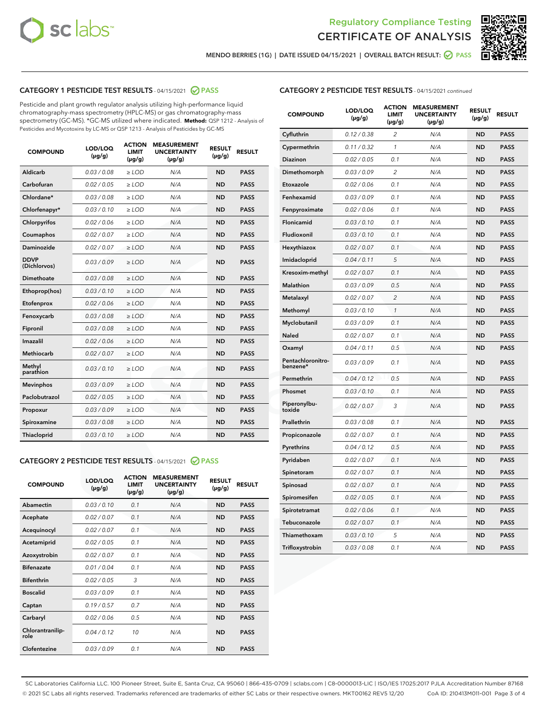



MENDO BERRIES (1G) | DATE ISSUED 04/15/2021 | OVERALL BATCH RESULT: **⊘** PASS

# CATEGORY 1 PESTICIDE TEST RESULTS - 04/15/2021 2 PASS

Pesticide and plant growth regulator analysis utilizing high-performance liquid chromatography-mass spectrometry (HPLC-MS) or gas chromatography-mass spectrometry (GC-MS). \*GC-MS utilized where indicated. **Method:** QSP 1212 - Analysis of Pesticides and Mycotoxins by LC-MS or QSP 1213 - Analysis of Pesticides by GC-MS

| <b>COMPOUND</b>             | LOD/LOQ<br>$(\mu g/g)$ | <b>ACTION</b><br><b>LIMIT</b><br>$(\mu g/g)$ | <b>MEASUREMENT</b><br><b>UNCERTAINTY</b><br>$(\mu g/g)$ | <b>RESULT</b><br>$(\mu g/g)$ | <b>RESULT</b> |
|-----------------------------|------------------------|----------------------------------------------|---------------------------------------------------------|------------------------------|---------------|
| Aldicarb                    | 0.03 / 0.08            | $\ge$ LOD                                    | N/A                                                     | <b>ND</b>                    | <b>PASS</b>   |
| Carbofuran                  | 0.02 / 0.05            | $\ge$ LOD                                    | N/A                                                     | <b>ND</b>                    | <b>PASS</b>   |
| Chlordane*                  | 0.03 / 0.08            | $\ge$ LOD                                    | N/A                                                     | <b>ND</b>                    | <b>PASS</b>   |
| Chlorfenapyr*               | 0.03/0.10              | $\ge$ LOD                                    | N/A                                                     | <b>ND</b>                    | <b>PASS</b>   |
| Chlorpyrifos                | 0.02 / 0.06            | $\ge$ LOD                                    | N/A                                                     | <b>ND</b>                    | <b>PASS</b>   |
| Coumaphos                   | 0.02 / 0.07            | $\ge$ LOD                                    | N/A                                                     | <b>ND</b>                    | <b>PASS</b>   |
| Daminozide                  | 0.02 / 0.07            | $\ge$ LOD                                    | N/A                                                     | <b>ND</b>                    | <b>PASS</b>   |
| <b>DDVP</b><br>(Dichlorvos) | 0.03/0.09              | $>$ LOD                                      | N/A                                                     | <b>ND</b>                    | <b>PASS</b>   |
| Dimethoate                  | 0.03 / 0.08            | $\ge$ LOD                                    | N/A                                                     | <b>ND</b>                    | <b>PASS</b>   |
| Ethoprop(hos)               | 0.03/0.10              | $>$ LOD                                      | N/A                                                     | <b>ND</b>                    | <b>PASS</b>   |
| Etofenprox                  | 0.02 / 0.06            | $\ge$ LOD                                    | N/A                                                     | <b>ND</b>                    | <b>PASS</b>   |
| Fenoxycarb                  | 0.03 / 0.08            | $\ge$ LOD                                    | N/A                                                     | <b>ND</b>                    | <b>PASS</b>   |
| Fipronil                    | 0.03 / 0.08            | $\ge$ LOD                                    | N/A                                                     | <b>ND</b>                    | <b>PASS</b>   |
| Imazalil                    | 0.02 / 0.06            | $>$ LOD                                      | N/A                                                     | <b>ND</b>                    | <b>PASS</b>   |
| <b>Methiocarb</b>           | 0.02 / 0.07            | $\ge$ LOD                                    | N/A                                                     | <b>ND</b>                    | <b>PASS</b>   |
| Methyl<br>parathion         | 0.03/0.10              | $\ge$ LOD                                    | N/A                                                     | <b>ND</b>                    | <b>PASS</b>   |
| <b>Mevinphos</b>            | 0.03/0.09              | $\ge$ LOD                                    | N/A                                                     | <b>ND</b>                    | <b>PASS</b>   |
| Paclobutrazol               | 0.02 / 0.05            | $>$ LOD                                      | N/A                                                     | <b>ND</b>                    | <b>PASS</b>   |
| Propoxur                    | 0.03/0.09              | $\ge$ LOD                                    | N/A                                                     | <b>ND</b>                    | <b>PASS</b>   |
| Spiroxamine                 | 0.03 / 0.08            | $\ge$ LOD                                    | N/A                                                     | <b>ND</b>                    | <b>PASS</b>   |
| Thiacloprid                 | 0.03/0.10              | $\ge$ LOD                                    | N/A                                                     | <b>ND</b>                    | <b>PASS</b>   |

## CATEGORY 2 PESTICIDE TEST RESULTS - 04/15/2021 @ PASS

| <b>COMPOUND</b>          | LOD/LOO<br>$(\mu g/g)$ | <b>ACTION</b><br>LIMIT<br>$(\mu g/g)$ | <b>MEASUREMENT</b><br><b>UNCERTAINTY</b><br>$(\mu g/g)$ | <b>RESULT</b><br>$(\mu g/g)$ | <b>RESULT</b> |
|--------------------------|------------------------|---------------------------------------|---------------------------------------------------------|------------------------------|---------------|
| Abamectin                | 0.03/0.10              | 0.1                                   | N/A                                                     | <b>ND</b>                    | <b>PASS</b>   |
| Acephate                 | 0.02/0.07              | 0.1                                   | N/A                                                     | <b>ND</b>                    | <b>PASS</b>   |
| Acequinocyl              | 0.02/0.07              | 0.1                                   | N/A                                                     | <b>ND</b>                    | <b>PASS</b>   |
| Acetamiprid              | 0.02/0.05              | 0.1                                   | N/A                                                     | <b>ND</b>                    | <b>PASS</b>   |
| Azoxystrobin             | 0.02/0.07              | 0.1                                   | N/A                                                     | <b>ND</b>                    | <b>PASS</b>   |
| <b>Bifenazate</b>        | 0.01/0.04              | 0.1                                   | N/A                                                     | <b>ND</b>                    | <b>PASS</b>   |
| <b>Bifenthrin</b>        | 0.02/0.05              | 3                                     | N/A                                                     | <b>ND</b>                    | <b>PASS</b>   |
| <b>Boscalid</b>          | 0.03/0.09              | 0.1                                   | N/A                                                     | <b>ND</b>                    | <b>PASS</b>   |
| Captan                   | 0.19/0.57              | 0.7                                   | N/A                                                     | <b>ND</b>                    | <b>PASS</b>   |
| Carbaryl                 | 0.02/0.06              | 0.5                                   | N/A                                                     | <b>ND</b>                    | <b>PASS</b>   |
| Chlorantranilip-<br>role | 0.04/0.12              | 10                                    | N/A                                                     | <b>ND</b>                    | <b>PASS</b>   |
| Clofentezine             | 0.03/0.09              | 0.1                                   | N/A                                                     | <b>ND</b>                    | <b>PASS</b>   |

| <b>CATEGORY 2 PESTICIDE TEST RESULTS</b> - 04/15/2021 continued |  |  |
|-----------------------------------------------------------------|--|--|
|                                                                 |  |  |

| <b>COMPOUND</b>               | LOD/LOQ<br>$(\mu g/g)$ | <b>ACTION</b><br><b>LIMIT</b><br>$(\mu g/g)$ | <b>MEASUREMENT</b><br><b>UNCERTAINTY</b><br>$(\mu g/g)$ | <b>RESULT</b><br>(µg/g) | <b>RESULT</b> |
|-------------------------------|------------------------|----------------------------------------------|---------------------------------------------------------|-------------------------|---------------|
| Cyfluthrin                    | 0.12 / 0.38            | 2                                            | N/A                                                     | ND                      | <b>PASS</b>   |
| Cypermethrin                  | 0.11 / 0.32            | 1                                            | N/A                                                     | ND                      | <b>PASS</b>   |
| <b>Diazinon</b>               | 0.02 / 0.05            | 0.1                                          | N/A                                                     | ND                      | <b>PASS</b>   |
| Dimethomorph                  | 0.03 / 0.09            | 2                                            | N/A                                                     | <b>ND</b>               | <b>PASS</b>   |
| Etoxazole                     | 0.02 / 0.06            | 0.1                                          | N/A                                                     | ND                      | <b>PASS</b>   |
| Fenhexamid                    | 0.03 / 0.09            | 0.1                                          | N/A                                                     | ND                      | <b>PASS</b>   |
| Fenpyroximate                 | 0.02 / 0.06            | 0.1                                          | N/A                                                     | ND                      | <b>PASS</b>   |
| Flonicamid                    | 0.03 / 0.10            | 0.1                                          | N/A                                                     | ND                      | PASS          |
| Fludioxonil                   | 0.03 / 0.10            | 0.1                                          | N/A                                                     | ND                      | PASS          |
| Hexythiazox                   | 0.02 / 0.07            | 0.1                                          | N/A                                                     | ND                      | <b>PASS</b>   |
| Imidacloprid                  | 0.04 / 0.11            | 5                                            | N/A                                                     | ND                      | <b>PASS</b>   |
| Kresoxim-methyl               | 0.02 / 0.07            | 0.1                                          | N/A                                                     | ND                      | <b>PASS</b>   |
| Malathion                     | 0.03 / 0.09            | 0.5                                          | N/A                                                     | <b>ND</b>               | <b>PASS</b>   |
| Metalaxyl                     | 0.02 / 0.07            | $\overline{c}$                               | N/A                                                     | <b>ND</b>               | <b>PASS</b>   |
| Methomyl                      | 0.03 / 0.10            | 1                                            | N/A                                                     | ND                      | <b>PASS</b>   |
| Myclobutanil                  | 0.03 / 0.09            | 0.1                                          | N/A                                                     | <b>ND</b>               | <b>PASS</b>   |
| Naled                         | 0.02 / 0.07            | 0.1                                          | N/A                                                     | <b>ND</b>               | <b>PASS</b>   |
| Oxamyl                        | 0.04 / 0.11            | 0.5                                          | N/A                                                     | ND                      | PASS          |
| Pentachloronitro-<br>benzene* | 0.03 / 0.09            | 0.1                                          | N/A                                                     | ND                      | <b>PASS</b>   |
| Permethrin                    | 0.04 / 0.12            | 0.5                                          | N/A                                                     | <b>ND</b>               | <b>PASS</b>   |
| Phosmet                       | 0.03 / 0.10            | 0.1                                          | N/A                                                     | ND                      | PASS          |
| Piperonylbu-<br>toxide        | 0.02 / 0.07            | 3                                            | N/A                                                     | ND                      | <b>PASS</b>   |
| Prallethrin                   | 0.03 / 0.08            | 0.1                                          | N/A                                                     | ND                      | <b>PASS</b>   |
| Propiconazole                 | 0.02 / 0.07            | 0.1                                          | N/A                                                     | <b>ND</b>               | PASS          |
| Pyrethrins                    | 0.04 / 0.12            | 0.5                                          | N/A                                                     | ND                      | PASS          |
| Pyridaben                     | 0.02 / 0.07            | 0.1                                          | N/A                                                     | <b>ND</b>               | <b>PASS</b>   |
| Spinetoram                    | 0.02 / 0.07            | 0.1                                          | N/A                                                     | <b>ND</b>               | <b>PASS</b>   |
| Spinosad                      | 0.02 / 0.07            | 0.1                                          | N/A                                                     | ND                      | <b>PASS</b>   |
| Spiromesifen                  | 0.02 / 0.05            | 0.1                                          | N/A                                                     | <b>ND</b>               | <b>PASS</b>   |
| Spirotetramat                 | 0.02 / 0.06            | 0.1                                          | N/A                                                     | <b>ND</b>               | <b>PASS</b>   |
| Tebuconazole                  | 0.02 / 0.07            | 0.1                                          | N/A                                                     | ND                      | <b>PASS</b>   |
| Thiamethoxam                  | 0.03 / 0.10            | 5                                            | N/A                                                     | ND                      | <b>PASS</b>   |
| Trifloxystrobin               | 0.03 / 0.08            | 0.1                                          | N/A                                                     | ND                      | <b>PASS</b>   |

SC Laboratories California LLC. 100 Pioneer Street, Suite E, Santa Cruz, CA 95060 | 866-435-0709 | sclabs.com | C8-0000013-LIC | ISO/IES 17025:2017 PJLA Accreditation Number 87168 © 2021 SC Labs all rights reserved. Trademarks referenced are trademarks of either SC Labs or their respective owners. MKT00162 REV5 12/20 CoA ID: 210413M011-001 Page 3 of 4